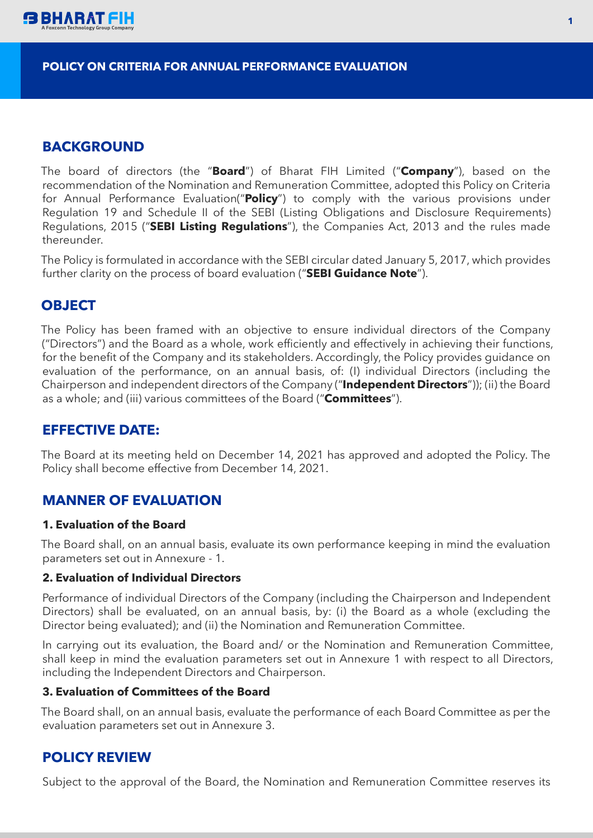

#### **POLICY ON CRITERIA FOR ANNUAL PERFORMANCE EVALUATION**

## **BACKGROUND**

The board of directors (the "**Board**") of Bharat FIH Limited ("**Company**"), based on the recommendation of the Nomination and Remuneration Committee, adopted this Policy on Criteria for Annual Performance Evaluation("**Policy**") to comply with the various provisions under Regulation 19 and Schedule II of the SEBI (Listing Obligations and Disclosure Requirements) Regulations, 2015 ("**SEBI Listing Regulations**"), the Companies Act, 2013 and the rules made thereunder.

The Policy is formulated in accordance with the SEBI circular dated January 5, 2017, which provides further clarity on the process of board evaluation ("**SEBI Guidance Note**").

## **OBJECT**

The Policy has been framed with an objective to ensure individual directors of the Company ("Directors") and the Board as a whole, work efficiently and effectively in achieving their functions, for the benefit of the Company and its stakeholders. Accordingly, the Policy provides guidance on evaluation of the performance, on an annual basis, of: (I) individual Directors (including the Chairperson and independent directors of the Company ("**Independent Directors**")); (ii) the Board as a whole; and (iii) various committees of the Board ("**Committees**").

## **EFFECTIVE DATE:**

The Board at its meeting held on December 14, 2021 has approved and adopted the Policy. The Policy shall become effective from December 14, 2021.

## **MANNER OF EVALUATION**

### **1. Evaluation of the Board**

The Board shall, on an annual basis, evaluate its own performance keeping in mind the evaluation parameters set out in Annexure - 1.

#### **2. Evaluation of Individual Directors**

Performance of individual Directors of the Company (including the Chairperson and Independent Directors) shall be evaluated, on an annual basis, by: (i) the Board as a whole (excluding the Director being evaluated); and (ii) the Nomination and Remuneration Committee.

In carrying out its evaluation, the Board and/ or the Nomination and Remuneration Committee, shall keep in mind the evaluation parameters set out in Annexure 1 with respect to all Directors, including the Independent Directors and Chairperson.

### **3. Evaluation of Committees of the Board**

The Board shall, on an annual basis, evaluate the performance of each Board Committee as per the evaluation parameters set out in Annexure 3.

## **POLICY REVIEW**

Subject to the approval of the Board, the Nomination and Remuneration Committee reserves its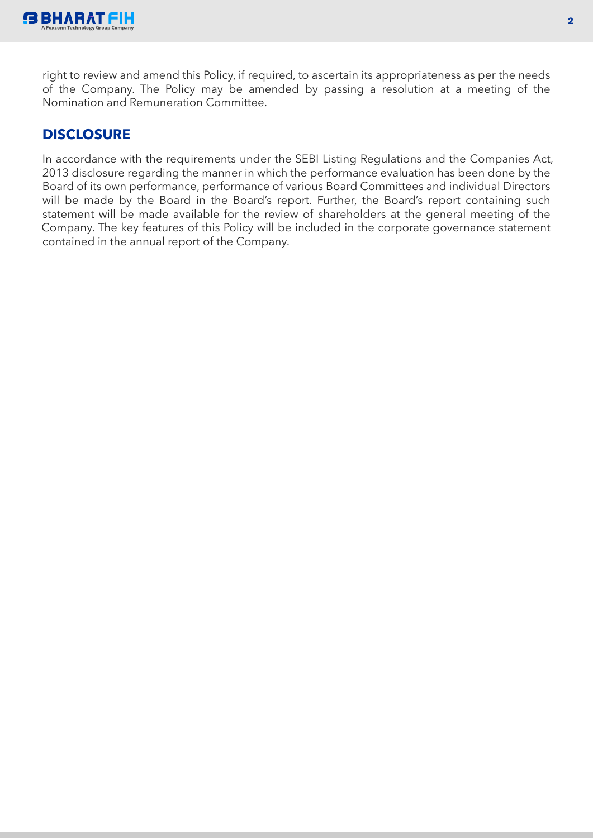

right to review and amend this Policy, if required, to ascertain its appropriateness as per the needs of the Company. The Policy may be amended by passing a resolution at a meeting of the Nomination and Remuneration Committee.

## **DISCLOSURE**

In accordance with the requirements under the SEBI Listing Regulations and the Companies Act, 2013 disclosure regarding the manner in which the performance evaluation has been done by the Board of its own performance, performance of various Board Committees and individual Directors will be made by the Board in the Board's report. Further, the Board's report containing such statement will be made available for the review of shareholders at the general meeting of the Company. The key features of this Policy will be included in the corporate governance statement contained in the annual report of the Company.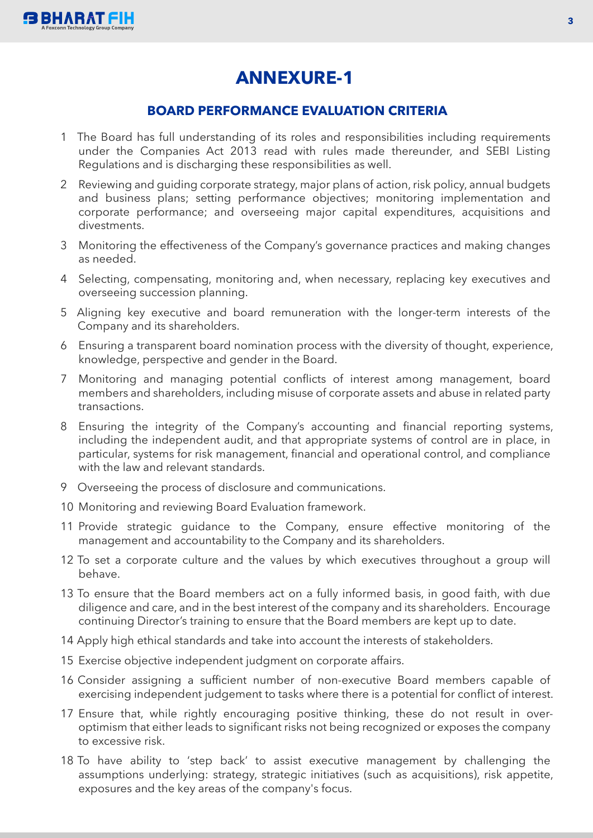

# **ANNEXURE-1**

### **BOARD PERFORMANCE EVALUATION CRITERIA**

- 1 The Board has full understanding of its roles and responsibilities including requirements under the Companies Act 2013 read with rules made thereunder, and SEBI Listing Regulations and is discharging these responsibilities as well.
- 2 Reviewing and guiding corporate strategy, major plans of action, risk policy, annual budgets and business plans; setting performance objectives; monitoring implementation and corporate performance; and overseeing major capital expenditures, acquisitions and divestments.
- 3 Monitoring the effectiveness of the Company's governance practices and making changes as needed.
- 4 Selecting, compensating, monitoring and, when necessary, replacing key executives and overseeing succession planning.
- 5 Aligning key executive and board remuneration with the longer-term interests of the Company and its shareholders.
- 6 Ensuring a transparent board nomination process with the diversity of thought, experience, knowledge, perspective and gender in the Board.
- 7 Monitoring and managing potential conflicts of interest among management, board members and shareholders, including misuse of corporate assets and abuse in related party transactions.
- 8 Ensuring the integrity of the Company's accounting and financial reporting systems, including the independent audit, and that appropriate systems of control are in place, in particular, systems for risk management, financial and operational control, and compliance with the law and relevant standards.
- 9 Overseeing the process of disclosure and communications.
- 10 Monitoring and reviewing Board Evaluation framework.
- 11 Provide strategic guidance to the Company, ensure effective monitoring of the management and accountability to the Company and its shareholders.
- 12 To set a corporate culture and the values by which executives throughout a group will behave.
- 13 To ensure that the Board members act on a fully informed basis, in good faith, with due diligence and care, and in the best interest of the company and its shareholders. Encourage continuing Director's training to ensure that the Board members are kept up to date.
- 14 Apply high ethical standards and take into account the interests of stakeholders.
- 15 Exercise objective independent judgment on corporate affairs.
- 16 Consider assigning a sufficient number of non-executive Board members capable of exercising independent judgement to tasks where there is a potential for conflict of interest.
- 17 Ensure that, while rightly encouraging positive thinking, these do not result in overoptimism that either leads to significant risks not being recognized or exposes the company to excessive risk.
- 18 To have ability to 'step back' to assist executive management by challenging the assumptions underlying: strategy, strategic initiatives (such as acquisitions), risk appetite, exposures and the key areas of the company's focus.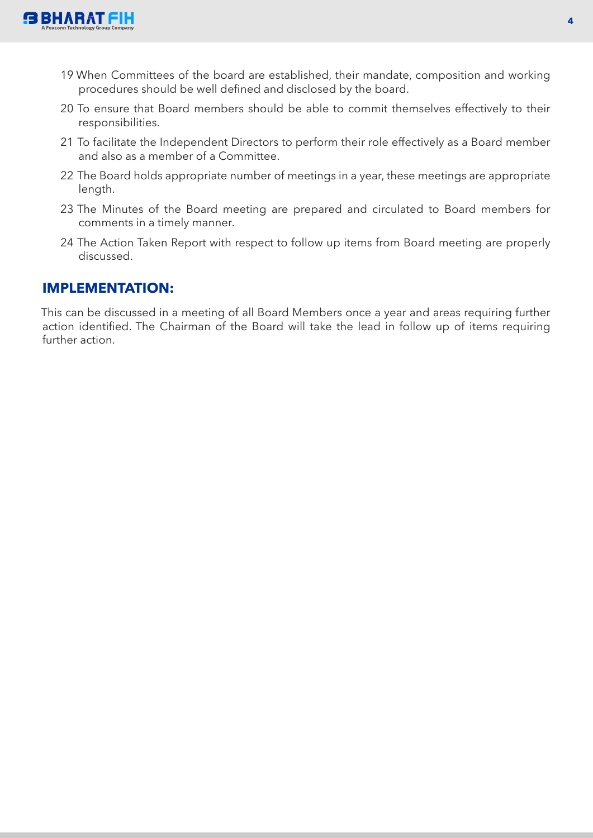

- 19 When Committees of the board are established, their mandate, composition and working procedures should be well defined and disclosed by the board.
- 20 To ensure that Board members should be able to commit themselves effectively to their responsibilities.
- 21 To facilitate the Independent Directors to perform their role effectively as a Board member and also as a member of a Committee.
- 22 The Board holds appropriate number of meetings in a year, these meetings are appropriate length.
- 23 The Minutes of the Board meeting are prepared and circulated to Board members for comments in a timely manner.
- 24 The Action Taken Report with respect to follow up items from Board meeting are properly discussed.

### **IMPLEMENTATION:**

This can be discussed in a meeting of all Board Members once a year and areas requiring further action identified. The Chairman of the Board will take the lead in follow up of items requiring further action.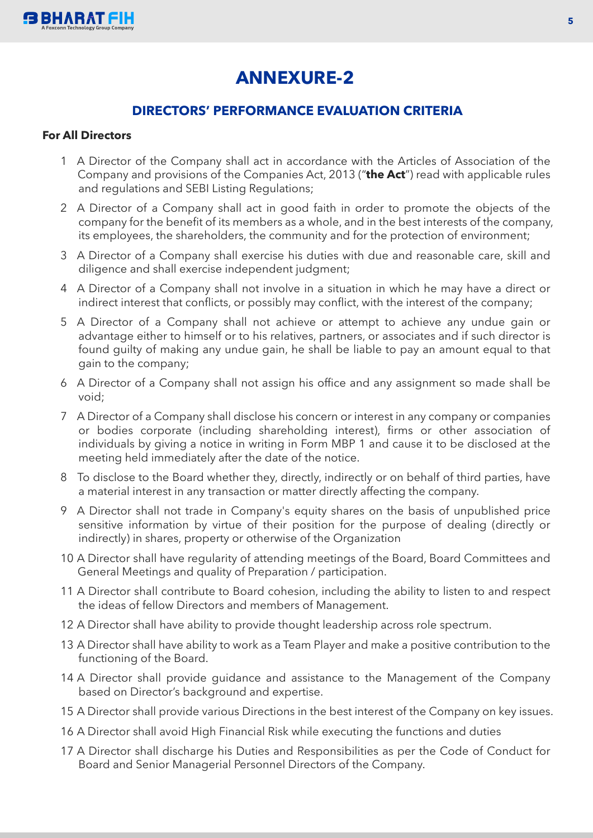

# **ANNEXURE-2**

## **DIRECTORS' PERFORMANCE EVALUATION CRITERIA**

### **For All Directors**

- 1 A Director of the Company shall act in accordance with the Articles of Association of the Company and provisions of the Companies Act, 2013 ("**the Act**") read with applicable rules and regulations and SEBI Listing Regulations;
- 2 A Director of a Company shall act in good faith in order to promote the objects of the company for the benefit of its members as a whole, and in the best interests of the company, its employees, the shareholders, the community and for the protection of environment;
- 3 A Director of a Company shall exercise his duties with due and reasonable care, skill and diligence and shall exercise independent judgment;
- 4 A Director of a Company shall not involve in a situation in which he may have a direct or indirect interest that conflicts, or possibly may conflict, with the interest of the company;
- 5 A Director of a Company shall not achieve or attempt to achieve any undue gain or advantage either to himself or to his relatives, partners, or associates and if such director is found guilty of making any undue gain, he shall be liable to pay an amount equal to that gain to the company;
- 6 A Director of a Company shall not assign his office and any assignment so made shall be void;
- 7 A Director of a Company shall disclose his concern or interest in any company or companies or bodies corporate (including shareholding interest), firms or other association of individuals by giving a notice in writing in Form MBP 1 and cause it to be disclosed at the meeting held immediately after the date of the notice.
- 8 To disclose to the Board whether they, directly, indirectly or on behalf of third parties, have a material interest in any transaction or matter directly affecting the company.
- 9 A Director shall not trade in Company's equity shares on the basis of unpublished price sensitive information by virtue of their position for the purpose of dealing (directly or indirectly) in shares, property or otherwise of the Organization
- 10 A Director shall have regularity of attending meetings of the Board, Board Committees and General Meetings and quality of Preparation / participation.
- 11 A Director shall contribute to Board cohesion, including the ability to listen to and respect the ideas of fellow Directors and members of Management.
- 12 A Director shall have ability to provide thought leadership across role spectrum.
- 13 A Director shall have ability to work as a Team Player and make a positive contribution to the functioning of the Board.
- 14 A Director shall provide guidance and assistance to the Management of the Company based on Director's background and expertise.
- 15 A Director shall provide various Directions in the best interest of the Company on key issues.
- 16 A Director shall avoid High Financial Risk while executing the functions and duties
- 17 A Director shall discharge his Duties and Responsibilities as per the Code of Conduct for Board and Senior Managerial Personnel Directors of the Company.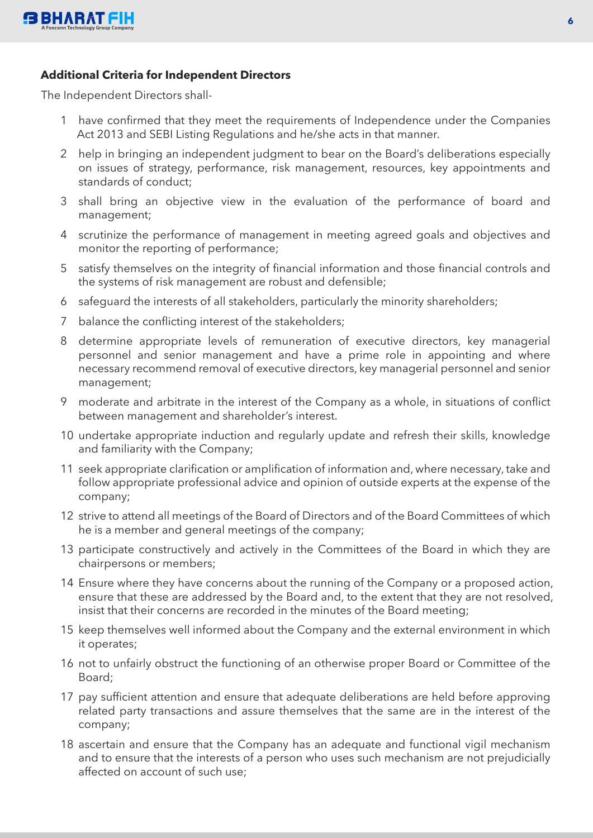

### **Additional Criteria for Independent Directors**

The Independent Directors shall-

- 1 have confirmed that they meet the requirements of Independence under the Companies Act 2013 and SEBI Listing Regulations and he/she acts in that manner.
- 2 help in bringing an independent judgment to bear on the Board's deliberations especially on issues of strategy, performance, risk management, resources, key appointments and standards of conduct;
- 3 shall bring an objective view in the evaluation of the performance of board and management;
- 4 scrutinize the performance of management in meeting agreed goals and objectives and monitor the reporting of performance;
- 5 satisfy themselves on the integrity of financial information and those financial controls and the systems of risk management are robust and defensible;
- 6 safeguard the interests of all stakeholders, particularly the minority shareholders;
- 7 balance the conflicting interest of the stakeholders;
- 8 determine appropriate levels of remuneration of executive directors, key managerial personnel and senior management and have a prime role in appointing and where necessary recommend removal of executive directors, key managerial personnel and senior management;
- 9 moderate and arbitrate in the interest of the Company as a whole, in situations of conflict between management and shareholder's interest.
- 10 undertake appropriate induction and regularly update and refresh their skills, knowledge and familiarity with the Company;
- 11 seek appropriate clarification or amplification of information and, where necessary, take and follow appropriate professional advice and opinion of outside experts at the expense of the company;
- 12 strive to attend all meetings of the Board of Directors and of the Board Committees of which he is a member and general meetings of the company;
- 13 participate constructively and actively in the Committees of the Board in which they are chairpersons or members;
- 14 Ensure where they have concerns about the running of the Company or a proposed action, ensure that these are addressed by the Board and, to the extent that they are not resolved, insist that their concerns are recorded in the minutes of the Board meeting;
- 15 keep themselves well informed about the Company and the external environment in which it operates;
- 16 not to unfairly obstruct the functioning of an otherwise proper Board or Committee of the Board;
- 17 pay sufficient attention and ensure that adequate deliberations are held before approving related party transactions and assure themselves that the same are in the interest of the company;
- 18 ascertain and ensure that the Company has an adequate and functional vigil mechanism and to ensure that the interests of a person who uses such mechanism are not prejudicially affected on account of such use;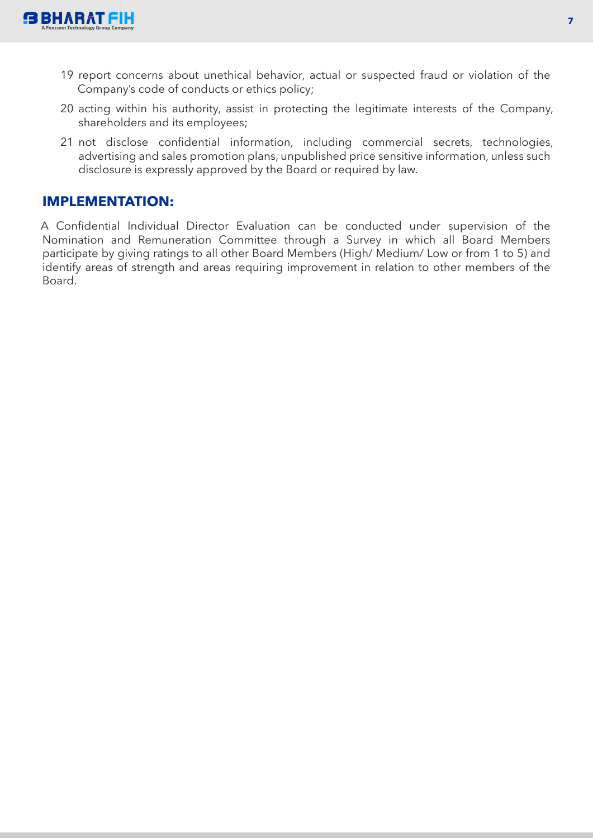

- 19 report concerns about unethical behavior, actual or suspected fraud or violation of the Company's code of conducts or ethics policy;
- 20 acting within his authority, assist in protecting the legitimate interests of the Company, shareholders and its employees;
- 21 not disclose confidential information, including commercial secrets, technologies, advertising and sales promotion plans, unpublished price sensitive information, unless such disclosure is expressly approved by the Board or required by law.

## **IMPLEMENTATION:**

A Confidential Individual Director Evaluation can be conducted under supervision of the Nomination and Remuneration Committee through a Survey in which all Board Members participate by giving ratings to all other Board Members (High/ Medium/ Low or from 1 to 5) and identify areas of strength and areas requiring improvement in relation to other members of the Board.